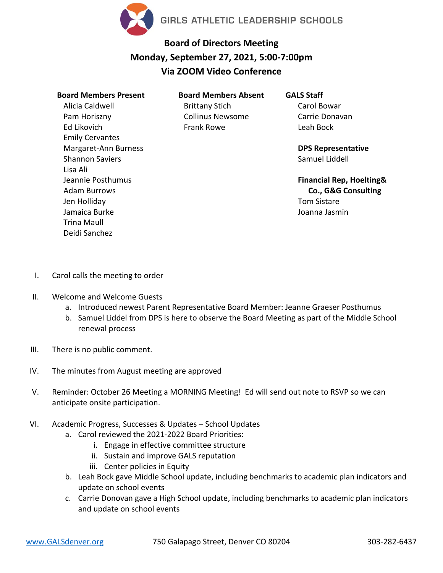

## **Board of Directors Meeting Monday, September 27, 2021, 5:00-7:00pm Via ZOOM Video Conference**

## **Board Members Present** Alicia Caldwell Pam Horiszny Ed Likovich Emily Cervantes Margaret-Ann Burness Shannon Saviers Lisa Ali Jeannie Posthumus Adam Burrows Jen Holliday Jamaica Burke Trina Maull Deidi Sanchez

**Board Members Absent** Brittany Stich Collinus Newsome Frank Rowe

## **GALS Staff**

Carol Bowar Carrie Donavan Leah Bock

**DPS Representative** Samuel Liddell

**Financial Rep, Hoelting& Co., G&G Consulting** Tom Sistare Joanna Jasmin

- I. Carol calls the meeting to order
- II. Welcome and Welcome Guests
	- a. Introduced newest Parent Representative Board Member: Jeanne Graeser Posthumus
	- b. Samuel Liddel from DPS is here to observe the Board Meeting as part of the Middle School renewal process
- III. There is no public comment.
- IV. The minutes from August meeting are approved
- V. Reminder: October 26 Meeting a MORNING Meeting! Ed will send out note to RSVP so we can anticipate onsite participation.
- VI. Academic Progress, Successes & Updates School Updates
	- a. Carol reviewed the 2021-2022 Board Priorities:
		- i. Engage in effective committee structure
		- ii. Sustain and improve GALS reputation
		- iii. Center policies in Equity
	- b. Leah Bock gave Middle School update, including benchmarks to academic plan indicators and update on school events
	- c. Carrie Donovan gave a High School update, including benchmarks to academic plan indicators and update on school events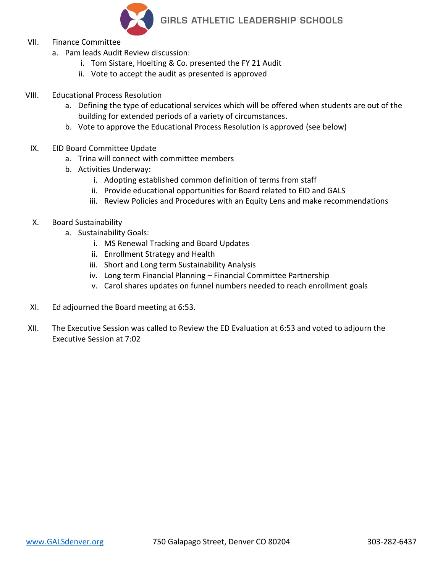

- VII. Finance Committee
	- a. Pam leads Audit Review discussion:
		- i. Tom Sistare, Hoelting & Co. presented the FY 21 Audit
		- ii. Vote to accept the audit as presented is approved
- VIII. Educational Process Resolution
	- a. Defining the type of educational services which will be offered when students are out of the building for extended periods of a variety of circumstances.
	- b. Vote to approve the Educational Process Resolution is approved (see below)
	- IX. EID Board Committee Update
		- a. Trina will connect with committee members
		- b. Activities Underway:
			- i. Adopting established common definition of terms from staff
			- ii. Provide educational opportunities for Board related to EID and GALS
			- iii. Review Policies and Procedures with an Equity Lens and make recommendations
	- X. Board Sustainability
		- a. Sustainability Goals:
			- i. MS Renewal Tracking and Board Updates
			- ii. Enrollment Strategy and Health
			- iii. Short and Long term Sustainability Analysis
			- iv. Long term Financial Planning Financial Committee Partnership
			- v. Carol shares updates on funnel numbers needed to reach enrollment goals
	- XI. Ed adjourned the Board meeting at 6:53.
- XII. The Executive Session was called to Review the ED Evaluation at 6:53 and voted to adjourn the Executive Session at 7:02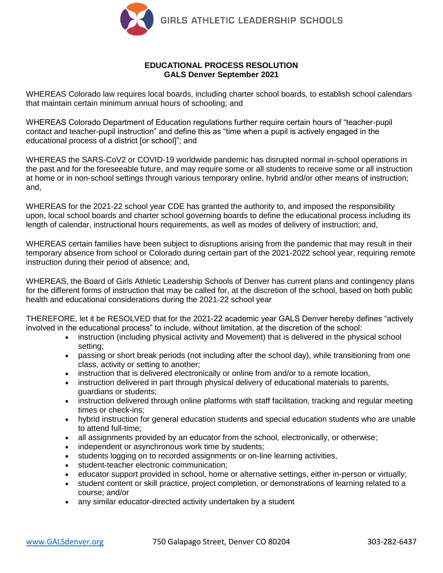

## **EDUCATIONAL PROCESS RESOLUTION GALS Denver September 2021**

WHEREAS Colorado law requires local boards, including charter school boards, to establish school calendars that maintain certain minimum annual hours of schooling; and

WHEREAS Colorado Department of Education regulations further require certain hours of "teacher-pupil contact and teacher-pupil instruction" and define this as "time when a pupil is actively engaged in the educational process of a district [or school]"; and

WHEREAS the SARS-CoV2 or COVID-19 worldwide pandemic has disrupted normal in-school operations in the past and for the foreseeable future, and may require some or all students to receive some or all instruction at home or in non-school settings through various temporary online, hybrid and/or other means of instruction; and,

WHEREAS for the 2021-22 school year CDE has granted the authority to, and imposed the responsibility upon, local school boards and charter school governing boards to define the educational process including its length of calendar, instructional hours requirements, as well as modes of delivery of instruction; and,

WHEREAS certain families have been subject to disruptions arising from the pandemic that may result in their temporary absence from school or Colorado during certain part of the 2021-2022 school year, requiring remote instruction during their period of absence; and,

WHEREAS, the Board of Girls Athletic Leadership Schools of Denver has current plans and contingency plans for the different forms of instruction that may be called for, at the discretion of the school, based on both public health and educational considerations during the 2021-22 school year

THEREFORE, let it be RESOLVED that for the 2021-22 academic year GALS Denver hereby defines "actively involved in the educational process" to include, without limitation, at the discretion of the school:

- instruction (including physical activity and Movement) that is delivered in the physical school setting;
- passing or short break periods (not including after the school day), while transitioning from one class, activity or setting to another;
- instruction that is delivered electronically or online from and/or to a remote location,
- instruction delivered in part through physical delivery of educational materials to parents, guardians or students;
- instruction delivered through online platforms with staff facilitation, tracking and regular meeting times or check-ins;
- hybrid instruction for general education students and special education students who are unable to attend full-time;
- all assignments provided by an educator from the school, electronically, or otherwise;
- independent or asynchronous work time by students;
- students logging on to recorded assignments or on-line learning activities,
- student-teacher electronic communication;
- educator support provided in school, home or alternative settings, either in-person or virtually;
- student content or skill practice, project completion, or demonstrations of learning related to a course; and/or
- any similar educator-directed activity undertaken by a student